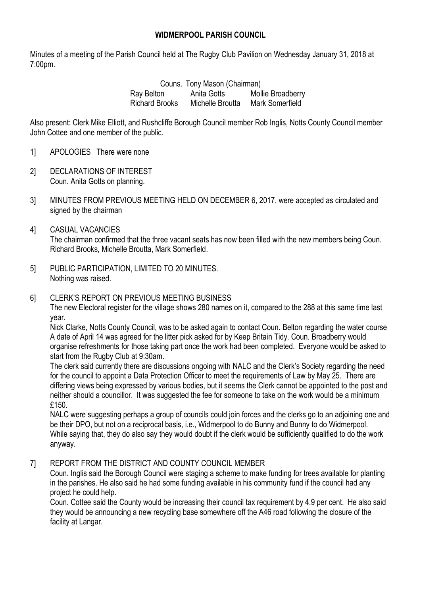## **WIDMERPOOL PARISH COUNCIL**

Minutes of a meeting of the Parish Council held at The Rugby Club Pavilion on Wednesday January 31, 2018 at 7:00pm.

> Couns. Tony Mason (Chairman) Ray Belton Anita Gotts Mollie Broadberry Richard Brooks Michelle Broutta Mark Somerfield

Also present: Clerk Mike Elliott, and Rushcliffe Borough Council member Rob Inglis, Notts County Council member John Cottee and one member of the public.

- 1] APOLOGIES There were none
- 2] DECLARATIONS OF INTEREST Coun. Anita Gotts on planning.
- 3] MINUTES FROM PREVIOUS MEETING HELD ON DECEMBER 6, 2017, were accepted as circulated and signed by the chairman
- 4] CASUAL VACANCIES The chairman confirmed that the three vacant seats has now been filled with the new members being Coun. Richard Brooks, Michelle Broutta, Mark Somerfield.
- 5] PUBLIC PARTICIPATION, LIMITED TO 20 MINUTES. Nothing was raised.
- 6] CLERK'S REPORT ON PREVIOUS MEETING BUSINESS

The new Electoral register for the village shows 280 names on it, compared to the 288 at this same time last year.

Nick Clarke, Notts County Council, was to be asked again to contact Coun. Belton regarding the water course A date of April 14 was agreed for the litter pick asked for by Keep Britain Tidy. Coun. Broadberry would organise refreshments for those taking part once the work had been completed. Everyone would be asked to start from the Rugby Club at 9:30am.

The clerk said currently there are discussions ongoing with NALC and the Clerk's Society regarding the need for the council to appoint a Data Protection Officer to meet the requirements of Law by May 25. There are differing views being expressed by various bodies, but it seems the Clerk cannot be appointed to the post and neither should a councillor. It was suggested the fee for someone to take on the work would be a minimum £150.

NALC were suggesting perhaps a group of councils could join forces and the clerks go to an adjoining one and be their DPO, but not on a reciprocal basis, i.e., Widmerpool to do Bunny and Bunny to do Widmerpool. While saying that, they do also say they would doubt if the clerk would be sufficiently qualified to do the work anyway.

#### 7] REPORT FROM THE DISTRICT AND COUNTY COUNCIL MEMBER

Coun. Inglis said the Borough Council were staging a scheme to make funding for trees available for planting in the parishes. He also said he had some funding available in his community fund if the council had any project he could help.

Coun. Cottee said the County would be increasing their council tax requirement by 4.9 per cent. He also said they would be announcing a new recycling base somewhere off the A46 road following the closure of the facility at Langar.